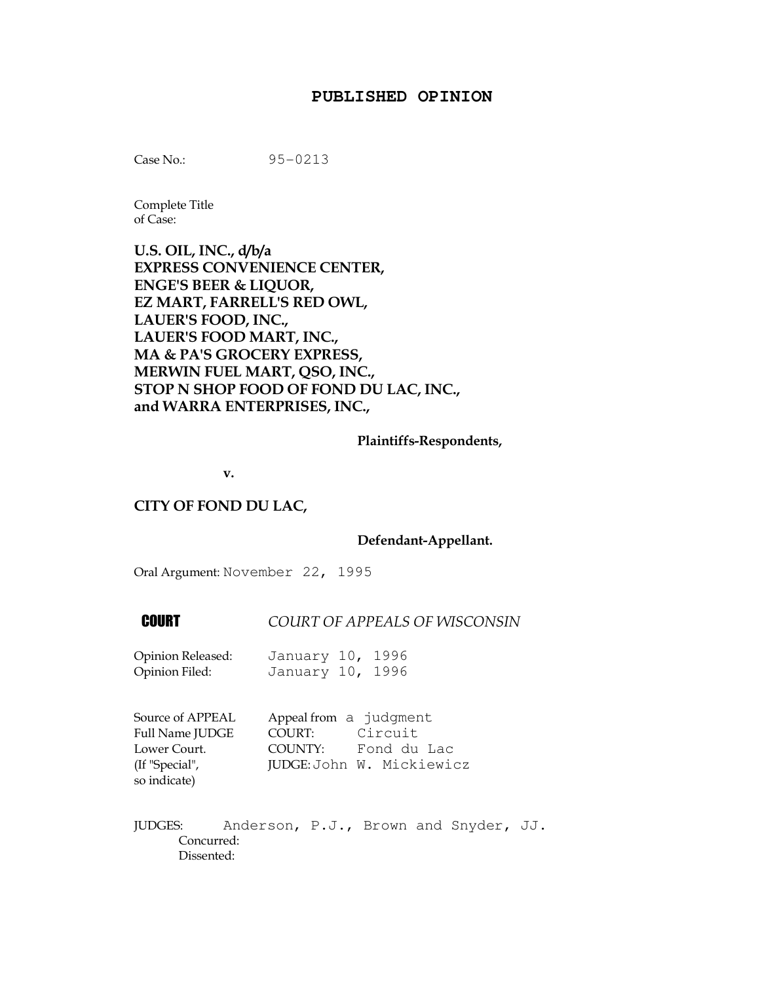## **PUBLISHED OPINION**

Case No.: 95-0213

Complete Title of Case:

U.S. OIL, INC., d/b/a EXPRESS CONVENIENCE CENTER, ENGE'S BEER & LIQUOR, EZ MART, FARRELL'S RED OWL, LAUER'S FOOD, INC., LAUER'S FOOD MART, INC., MA & PA'S GROCERY EXPRESS, MERWIN FUEL MART, QSO, INC., STOP N SHOP FOOD OF FOND DU LAC, INC., and WARRA ENTERPRISES, INC.,

## Plaintiffs-Respondents,

v.

## CITY OF FOND DU LAC,

## Defendant-Appellant.

Oral Argument: November 22, 1995

**COURT COURT OF APPEALS OF WISCONSIN** 

| Opinion Released: | January 10, 1996 |  |
|-------------------|------------------|--|
| Opinion Filed:    | January 10, 1996 |  |

| Source of APPEAL       | Appeal from a judgment |                           |
|------------------------|------------------------|---------------------------|
| <b>Full Name JUDGE</b> | COURT:                 | Circuit                   |
| Lower Court.           | COUNTY:                | Fond du Lac               |
| (If "Special",         |                        | JUDGE: John W. Mickiewicz |
| so indicate)           |                        |                           |

JUDGES: Anderson, P.J., Brown and Snyder, JJ. Concurred: Dissented: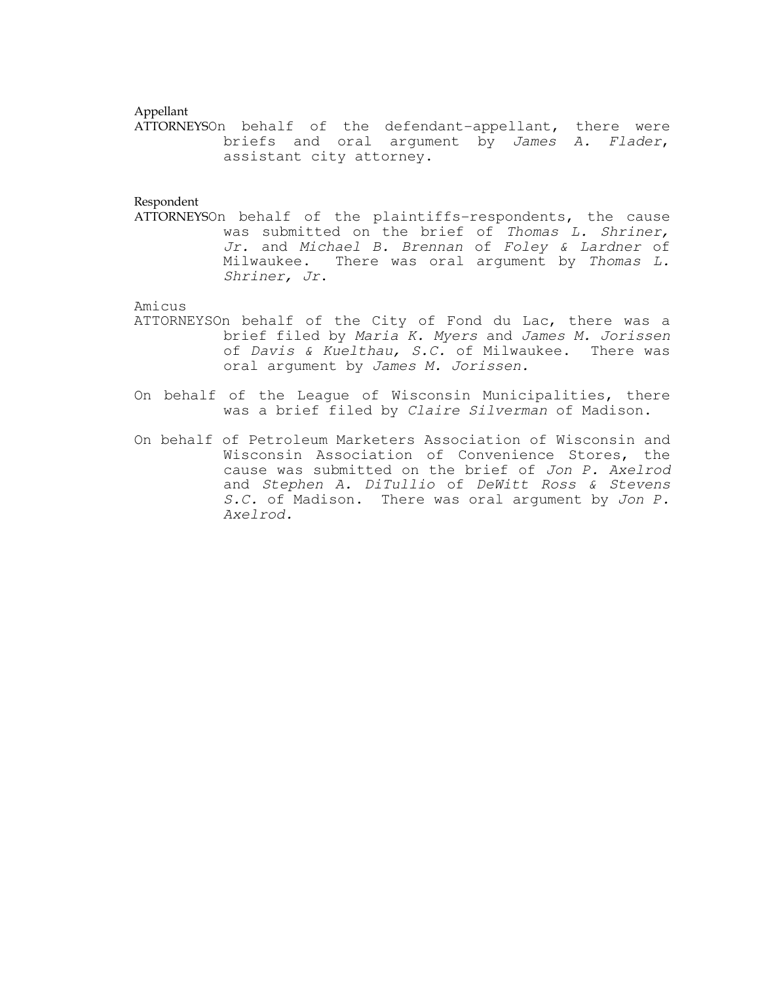### Appellant

ATTORNEYSOn behalf of the defendant-appellant, there were briefs and oral argument by James A. Flader, assistant city attorney.

### Respondent

ATTORNEYSOn behalf of the plaintiffs-respondents, the cause was submitted on the brief of Thomas L. Shriner, Jr. and Michael B. Brennan of Foley & Lardner of Milwaukee. There was oral argument by Thomas L. Shriner, Jr.

# Amicus

- ATTORNEYSOn behalf of the City of Fond du Lac, there was a brief filed by Maria K. Myers and James M. Jorissen of Davis & Kuelthau, S.C. of Milwaukee. There was oral argument by James M. Jorissen.
- On behalf of the League of Wisconsin Municipalities, there was a brief filed by Claire Silverman of Madison.
- On behalf of Petroleum Marketers Association of Wisconsin and Wisconsin Association of Convenience Stores, the cause was submitted on the brief of Jon P. Axelrod and Stephen A. DiTullio of DeWitt Ross & Stevens S.C. of Madison. There was oral argument by Jon P. Axelrod.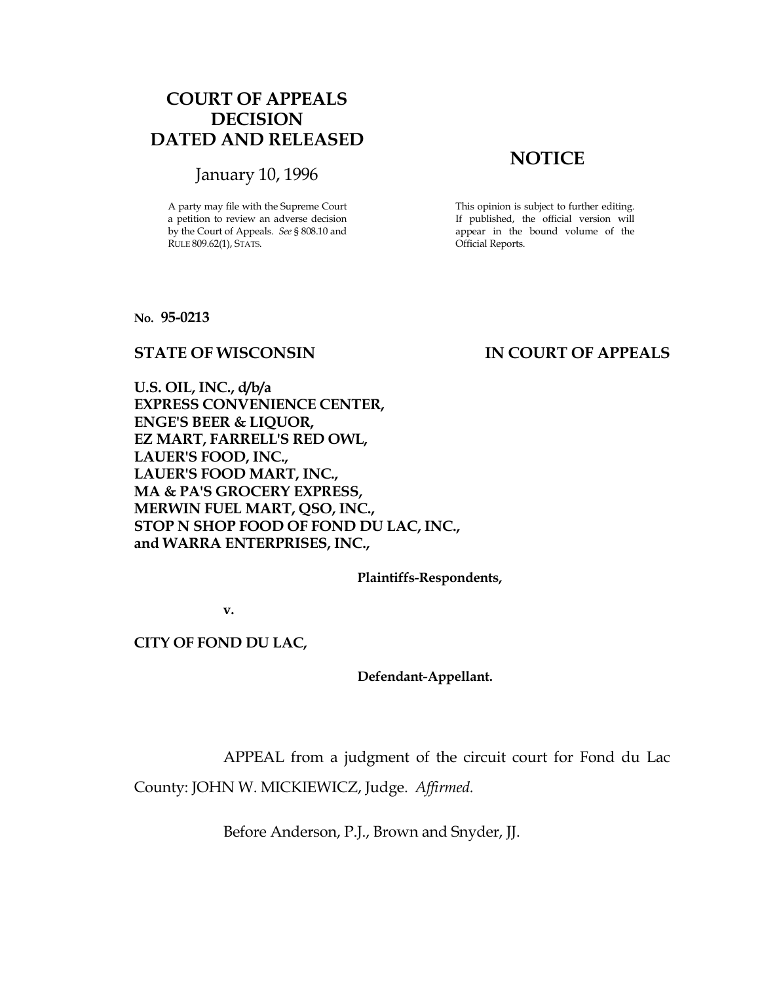# COURT OF APPEALS DECISION DATED AND RELEASED

# January 10, 1996

A party may file with the Supreme Court a petition to review an adverse decision by the Court of Appeals. See § 808.10 and RULE 809.62(1), STATS.

# **NOTICE**

This opinion is subject to further editing. If published, the official version will appear in the bound volume of the Official Reports.

No. 95-0213

# STATE OF WISCONSIN IN COURT OF APPEALS

U.S. OIL, INC., d/b/a EXPRESS CONVENIENCE CENTER, ENGE'S BEER & LIQUOR, EZ MART, FARRELL'S RED OWL, LAUER'S FOOD, INC., LAUER'S FOOD MART, INC., MA & PA'S GROCERY EXPRESS, MERWIN FUEL MART, QSO, INC., STOP N SHOP FOOD OF FOND DU LAC, INC., and WARRA ENTERPRISES, INC.,

Plaintiffs-Respondents,

v.

## CITY OF FOND DU LAC,

Defendant-Appellant.

APPEAL from a judgment of the circuit court for Fond du Lac

County: JOHN W. MICKIEWICZ, Judge. Affirmed.

Before Anderson, P.J., Brown and Snyder, JJ.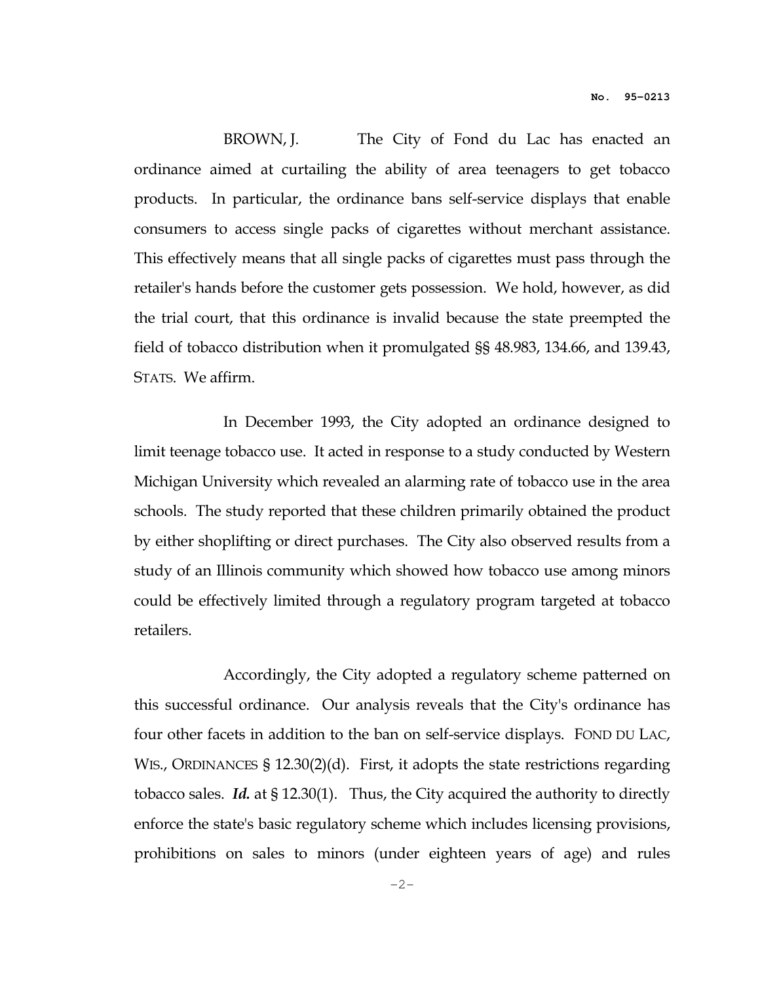BROWN, J. The City of Fond du Lac has enacted an ordinance aimed at curtailing the ability of area teenagers to get tobacco products. In particular, the ordinance bans self-service displays that enable consumers to access single packs of cigarettes without merchant assistance. This effectively means that all single packs of cigarettes must pass through the retailer's hands before the customer gets possession. We hold, however, as did the trial court, that this ordinance is invalid because the state preempted the field of tobacco distribution when it promulgated §§ 48.983, 134.66, and 139.43, STATS. We affirm.

 In December 1993, the City adopted an ordinance designed to limit teenage tobacco use. It acted in response to a study conducted by Western Michigan University which revealed an alarming rate of tobacco use in the area schools. The study reported that these children primarily obtained the product by either shoplifting or direct purchases. The City also observed results from a study of an Illinois community which showed how tobacco use among minors could be effectively limited through a regulatory program targeted at tobacco retailers.

 Accordingly, the City adopted a regulatory scheme patterned on this successful ordinance. Our analysis reveals that the City's ordinance has four other facets in addition to the ban on self-service displays. FOND DU LAC, WIS., ORDINANCES § 12.30(2)(d). First, it adopts the state restrictions regarding tobacco sales. Id. at  $\S 12.30(1)$ . Thus, the City acquired the authority to directly enforce the state's basic regulatory scheme which includes licensing provisions, prohibitions on sales to minors (under eighteen years of age) and rules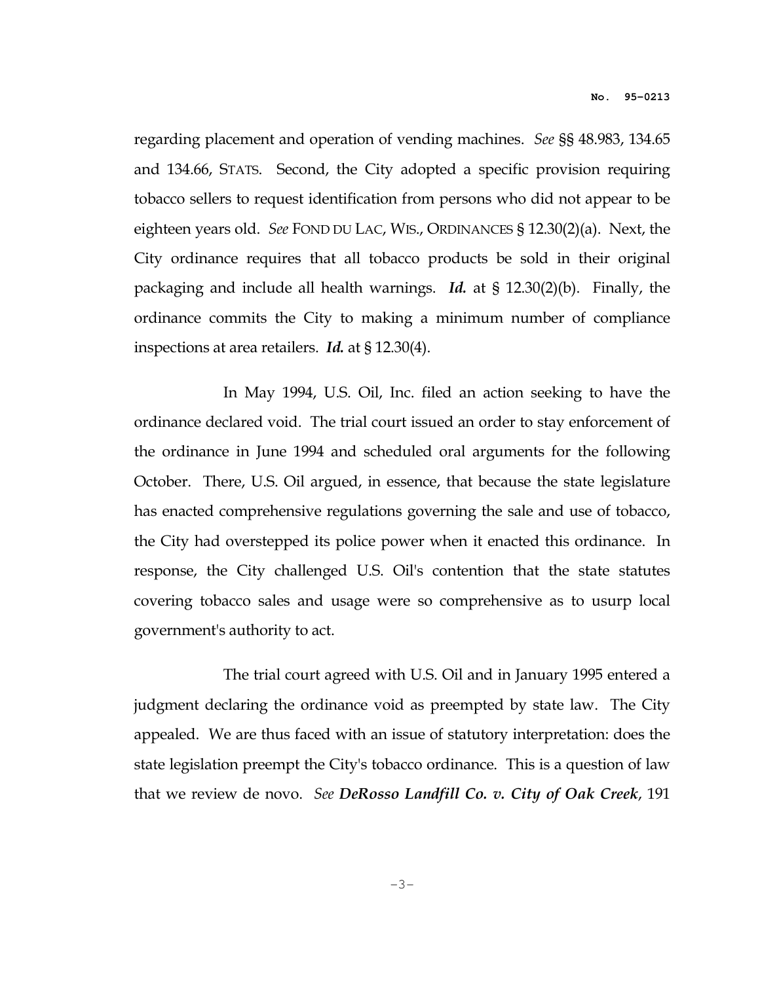regarding placement and operation of vending machines. See §§ 48.983, 134.65 and 134.66, STATS. Second, the City adopted a specific provision requiring tobacco sellers to request identification from persons who did not appear to be eighteen years old. See FOND DU LAC, WIS., ORDINANCES § 12.30(2)(a). Next, the City ordinance requires that all tobacco products be sold in their original packaging and include all health warnings. Id. at § 12.30(2)(b). Finally, the ordinance commits the City to making a minimum number of compliance inspections at area retailers. Id. at § 12.30(4).

 In May 1994, U.S. Oil, Inc. filed an action seeking to have the ordinance declared void. The trial court issued an order to stay enforcement of the ordinance in June 1994 and scheduled oral arguments for the following October. There, U.S. Oil argued, in essence, that because the state legislature has enacted comprehensive regulations governing the sale and use of tobacco, the City had overstepped its police power when it enacted this ordinance. In response, the City challenged U.S. Oil's contention that the state statutes covering tobacco sales and usage were so comprehensive as to usurp local government's authority to act.

 The trial court agreed with U.S. Oil and in January 1995 entered a judgment declaring the ordinance void as preempted by state law. The City appealed. We are thus faced with an issue of statutory interpretation: does the state legislation preempt the City's tobacco ordinance. This is a question of law that we review de novo. See DeRosso Landfill Co. v. City of Oak Creek, 191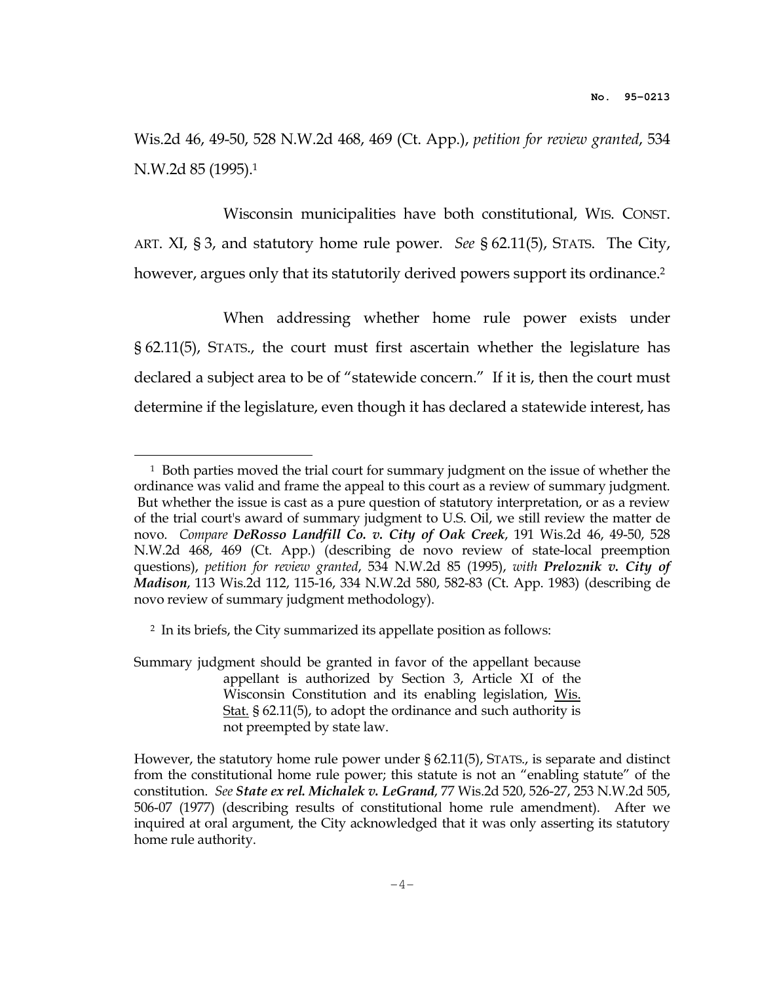Wis.2d 46, 49-50, 528 N.W.2d 468, 469 (Ct. App.), petition for review granted, 534 N.W.2d 85 (1995).<sup>1</sup>

 Wisconsin municipalities have both constitutional, WIS. CONST. ART. XI, § 3, and statutory home rule power. See § 62.11(5), STATS. The City, however, argues only that its statutorily derived powers support its ordinance.<sup>2</sup>

 When addressing whether home rule power exists under § 62.11(5), STATS., the court must first ascertain whether the legislature has declared a subject area to be of "statewide concern." If it is, then the court must determine if the legislature, even though it has declared a statewide interest, has

 $\overline{a}$ 

Summary judgment should be granted in favor of the appellant because appellant is authorized by Section 3, Article XI of the Wisconsin Constitution and its enabling legislation, Wis. Stat. § 62.11(5), to adopt the ordinance and such authority is not preempted by state law.

<sup>&</sup>lt;sup>1</sup> Both parties moved the trial court for summary judgment on the issue of whether the ordinance was valid and frame the appeal to this court as a review of summary judgment. But whether the issue is cast as a pure question of statutory interpretation, or as a review of the trial court's award of summary judgment to U.S. Oil, we still review the matter de novo. Compare DeRosso Landfill Co. v. City of Oak Creek, 191 Wis.2d 46, 49-50, 528 N.W.2d 468, 469 (Ct. App.) (describing de novo review of state-local preemption questions), petition for review granted, 534 N.W.2d 85 (1995), with Preloznik v. City of Madison, 113 Wis.2d 112, 115-16, 334 N.W.2d 580, 582-83 (Ct. App. 1983) (describing de novo review of summary judgment methodology).

<sup>2</sup> In its briefs, the City summarized its appellate position as follows:

However, the statutory home rule power under § 62.11(5), STATS., is separate and distinct from the constitutional home rule power; this statute is not an "enabling statute" of the constitution. See State ex rel. Michalek v. LeGrand, 77 Wis.2d 520, 526-27, 253 N.W.2d 505, 506-07 (1977) (describing results of constitutional home rule amendment). After we inquired at oral argument, the City acknowledged that it was only asserting its statutory home rule authority.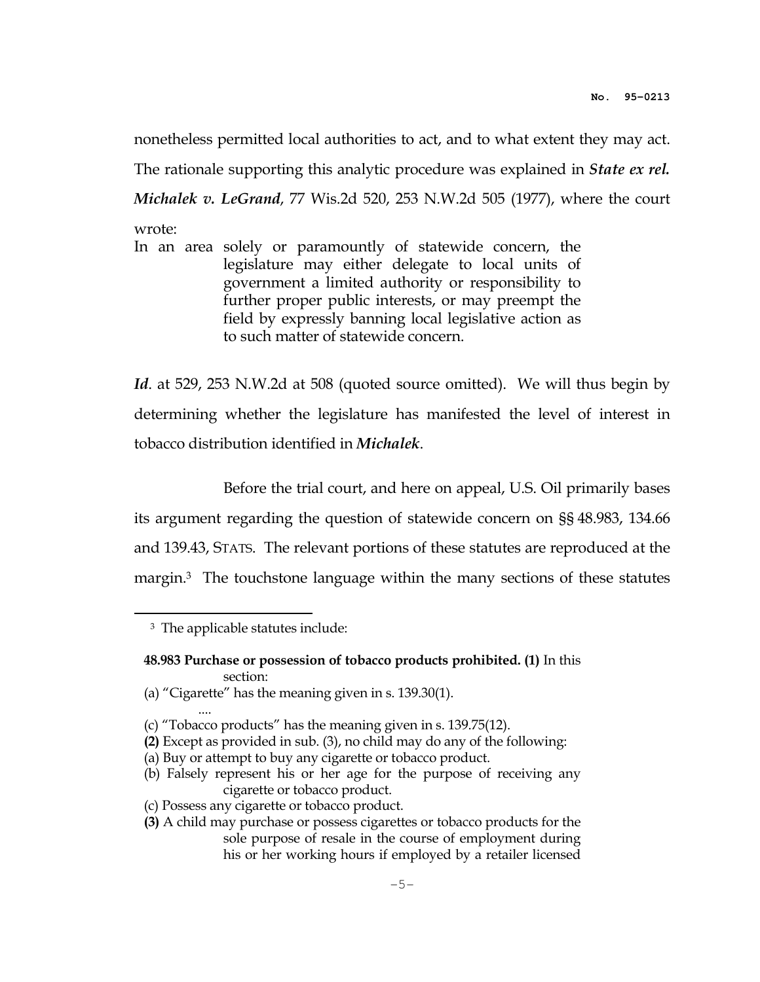nonetheless permitted local authorities to act, and to what extent they may act. The rationale supporting this analytic procedure was explained in *State ex rel. Michalek v. LeGrand, 77 Wis.2d 520, 253 N.W.2d 505 (1977), where the court* wrote:

In an area solely or paramountly of statewide concern, the legislature may either delegate to local units of government a limited authority or responsibility to further proper public interests, or may preempt the field by expressly banning local legislative action as to such matter of statewide concern.

Id. at 529, 253 N.W.2d at 508 (quoted source omitted). We will thus begin by determining whether the legislature has manifested the level of interest in tobacco distribution identified in Michalek.

 Before the trial court, and here on appeal, U.S. Oil primarily bases its argument regarding the question of statewide concern on §§ 48.983, 134.66 and 139.43, STATS. The relevant portions of these statutes are reproduced at the margin.3 The touchstone language within the many sections of these statutes

 $\overline{a}$ 

....

(a) "Cigarette" has the meaning given in s. 139.30(1).

<sup>&</sup>lt;sup>3</sup> The applicable statutes include:

 <sup>48.983</sup> Purchase or possession of tobacco products prohibited. (1) In this section:

 <sup>(</sup>c) "Tobacco products" has the meaning given in s. 139.75(12).

 <sup>(2)</sup> Except as provided in sub. (3), no child may do any of the following:

 <sup>(</sup>a) Buy or attempt to buy any cigarette or tobacco product.

 <sup>(</sup>b) Falsely represent his or her age for the purpose of receiving any cigarette or tobacco product.

 <sup>(</sup>c) Possess any cigarette or tobacco product.

 <sup>(3)</sup> A child may purchase or possess cigarettes or tobacco products for the sole purpose of resale in the course of employment during his or her working hours if employed by a retailer licensed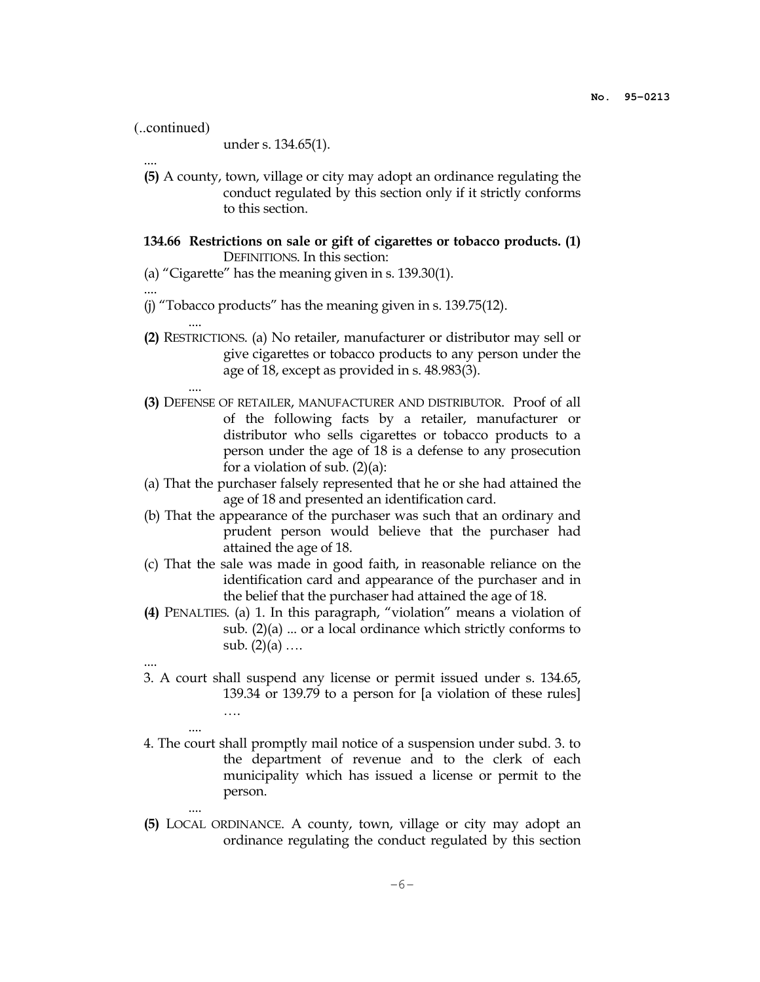```
(..continued)
```
under s. 134.65(1).

- (5) A county, town, village or city may adopt an ordinance regulating the conduct regulated by this section only if it strictly conforms to this section.
- 134.66 Restrictions on sale or gift of cigarettes or tobacco products. (1) DEFINITIONS. In this section:
- (a) "Cigarette" has the meaning given in s. 139.30(1).

....

....

....

....

....

....

....

- (j) "Tobacco products" has the meaning given in s. 139.75(12).
- (2) RESTRICTIONS. (a) No retailer, manufacturer or distributor may sell or give cigarettes or tobacco products to any person under the age of 18, except as provided in s. 48.983(3).
- (3) DEFENSE OF RETAILER, MANUFACTURER AND DISTRIBUTOR. Proof of all of the following facts by a retailer, manufacturer or distributor who sells cigarettes or tobacco products to a person under the age of 18 is a defense to any prosecution for a violation of sub. (2)(a):
- (a) That the purchaser falsely represented that he or she had attained the age of 18 and presented an identification card.
- (b) That the appearance of the purchaser was such that an ordinary and prudent person would believe that the purchaser had attained the age of 18.
- (c) That the sale was made in good faith, in reasonable reliance on the identification card and appearance of the purchaser and in the belief that the purchaser had attained the age of 18.
- (4) PENALTIES. (a) 1. In this paragraph, "violation" means a violation of sub. (2)(a) ... or a local ordinance which strictly conforms to sub.  $(2)(a)$  ...
- 3. A court shall suspend any license or permit issued under s. 134.65, 139.34 or 139.79 to a person for [a violation of these rules] ….
- 4. The court shall promptly mail notice of a suspension under subd. 3. to the department of revenue and to the clerk of each municipality which has issued a license or permit to the person.
- (5) LOCAL ORDINANCE. A county, town, village or city may adopt an ordinance regulating the conduct regulated by this section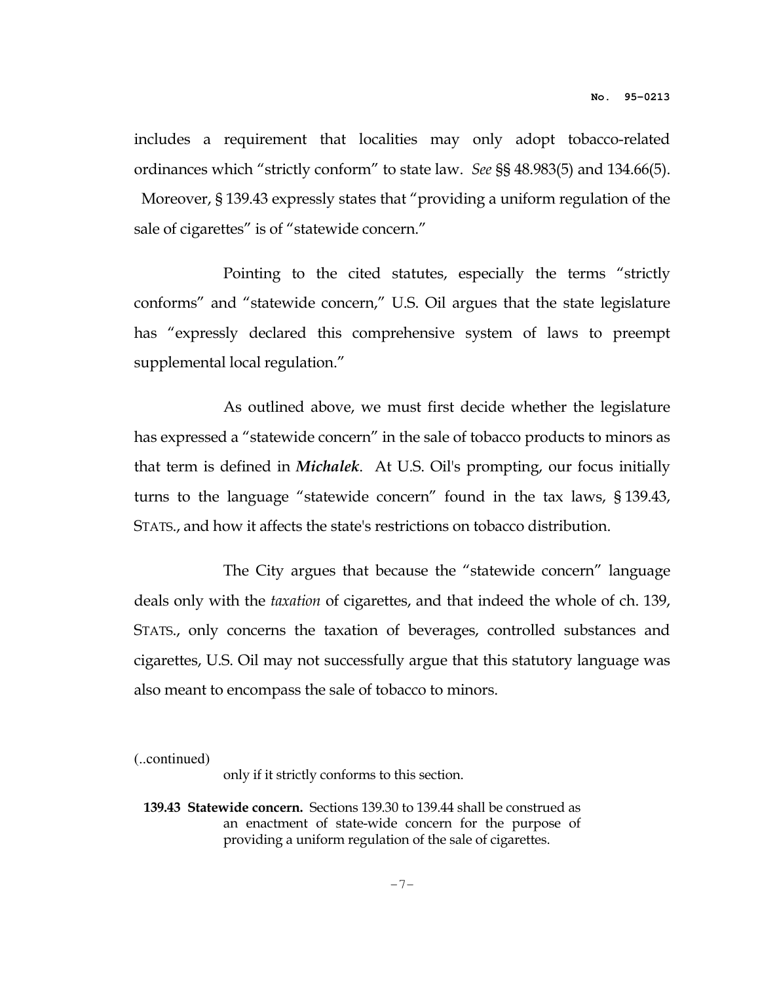includes a requirement that localities may only adopt tobacco-related ordinances which "strictly conform" to state law. See §§ 48.983(5) and 134.66(5).

 Moreover, § 139.43 expressly states that "providing a uniform regulation of the sale of cigarettes" is of "statewide concern."

 Pointing to the cited statutes, especially the terms "strictly conforms" and "statewide concern," U.S. Oil argues that the state legislature has "expressly declared this comprehensive system of laws to preempt supplemental local regulation."

 As outlined above, we must first decide whether the legislature has expressed a "statewide concern" in the sale of tobacco products to minors as that term is defined in Michalek. At U.S. Oil's prompting, our focus initially turns to the language "statewide concern" found in the tax laws, § 139.43, STATS., and how it affects the state's restrictions on tobacco distribution.

 The City argues that because the "statewide concern" language deals only with the *taxation* of cigarettes, and that indeed the whole of ch. 139, STATS., only concerns the taxation of beverages, controlled substances and cigarettes, U.S. Oil may not successfully argue that this statutory language was also meant to encompass the sale of tobacco to minors.

(..continued)

only if it strictly conforms to this section.

 139.43 Statewide concern. Sections 139.30 to 139.44 shall be construed as an enactment of state-wide concern for the purpose of providing a uniform regulation of the sale of cigarettes.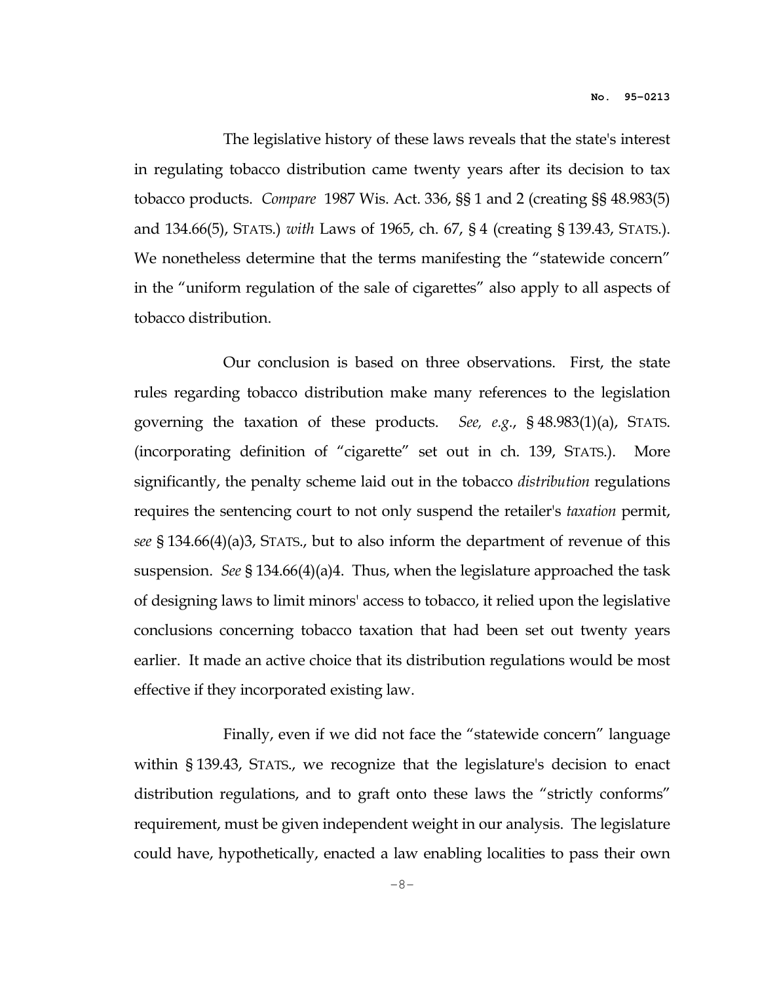The legislative history of these laws reveals that the state's interest in regulating tobacco distribution came twenty years after its decision to tax tobacco products. Compare 1987 Wis. Act. 336, §§ 1 and 2 (creating §§ 48.983(5) and 134.66(5), STATS.) with Laws of 1965, ch. 67, § 4 (creating § 139.43, STATS.). We nonetheless determine that the terms manifesting the "statewide concern" in the "uniform regulation of the sale of cigarettes" also apply to all aspects of tobacco distribution.

 Our conclusion is based on three observations. First, the state rules regarding tobacco distribution make many references to the legislation governing the taxation of these products. See, e.g.,  $\S$  48.983(1)(a), STATS. (incorporating definition of "cigarette" set out in ch. 139, STATS.). More significantly, the penalty scheme laid out in the tobacco distribution regulations requires the sentencing court to not only suspend the retailer's taxation permit, see § 134.66(4)(a)3, STATS., but to also inform the department of revenue of this suspension. See § 134.66(4)(a)4. Thus, when the legislature approached the task of designing laws to limit minors' access to tobacco, it relied upon the legislative conclusions concerning tobacco taxation that had been set out twenty years earlier. It made an active choice that its distribution regulations would be most effective if they incorporated existing law.

 Finally, even if we did not face the "statewide concern" language within § 139.43, STATS., we recognize that the legislature's decision to enact distribution regulations, and to graft onto these laws the "strictly conforms" requirement, must be given independent weight in our analysis. The legislature could have, hypothetically, enacted a law enabling localities to pass their own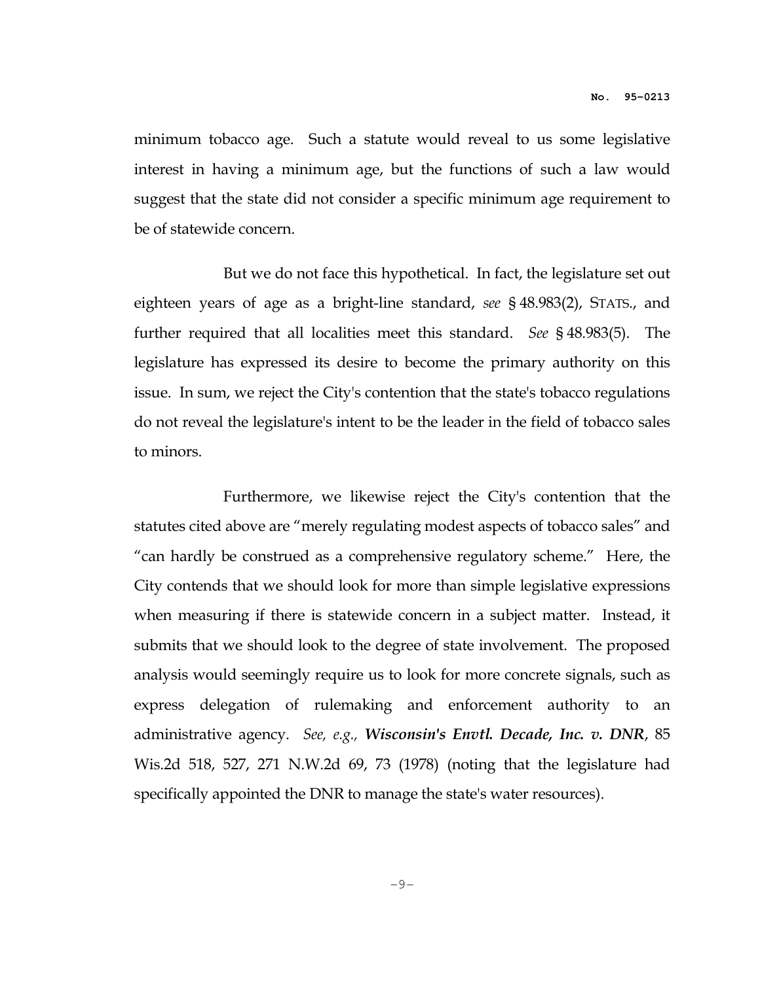minimum tobacco age. Such a statute would reveal to us some legislative interest in having a minimum age, but the functions of such a law would suggest that the state did not consider a specific minimum age requirement to be of statewide concern.

 But we do not face this hypothetical. In fact, the legislature set out eighteen years of age as a bright-line standard, see § 48.983(2), STATS., and further required that all localities meet this standard. See § 48.983(5). The legislature has expressed its desire to become the primary authority on this issue. In sum, we reject the City's contention that the state's tobacco regulations do not reveal the legislature's intent to be the leader in the field of tobacco sales to minors.

 Furthermore, we likewise reject the City's contention that the statutes cited above are "merely regulating modest aspects of tobacco sales" and "can hardly be construed as a comprehensive regulatory scheme." Here, the City contends that we should look for more than simple legislative expressions when measuring if there is statewide concern in a subject matter. Instead, it submits that we should look to the degree of state involvement. The proposed analysis would seemingly require us to look for more concrete signals, such as express delegation of rulemaking and enforcement authority to an administrative agency. See, e.g., Wisconsin's Envtl. Decade, Inc. v. DNR, 85 Wis.2d 518, 527, 271 N.W.2d 69, 73 (1978) (noting that the legislature had specifically appointed the DNR to manage the state's water resources).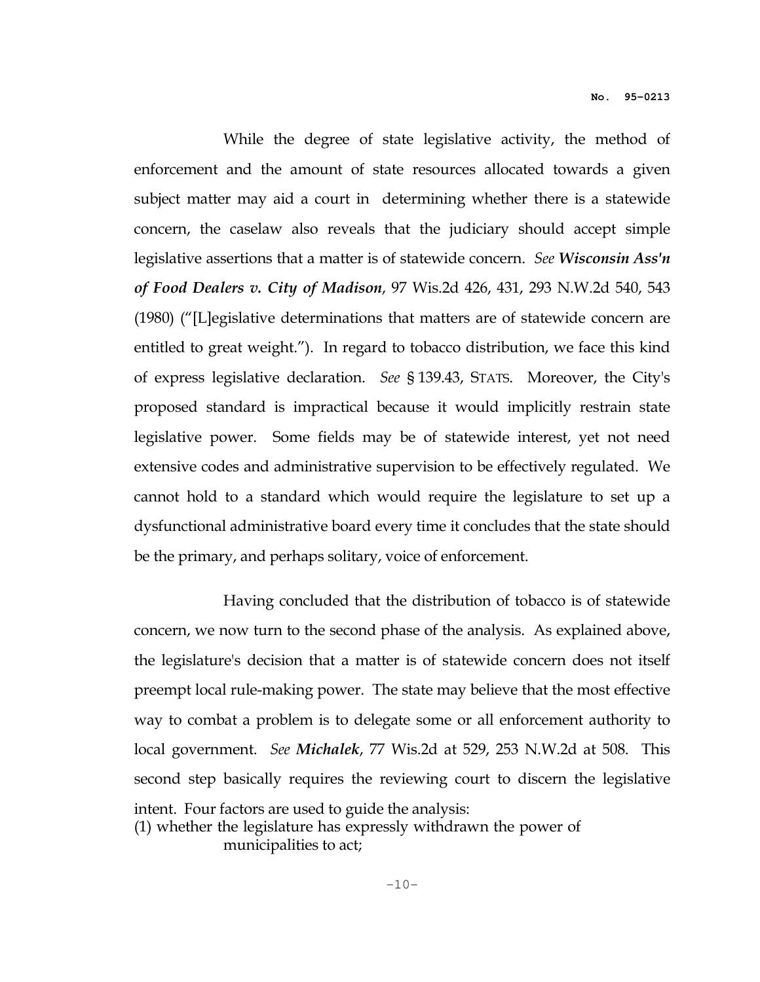While the degree of state legislative activity, the method of enforcement and the amount of state resources allocated towards a given subject matter may aid a court in determining whether there is a statewide concern, the caselaw also reveals that the judiciary should accept simple legislative assertions that a matter is of statewide concern. See Wisconsin Ass'n of Food Dealers v. City of Madison, 97 Wis.2d 426, 431, 293 N.W.2d 540, 543 (1980) ("[L]egislative determinations that matters are of statewide concern are entitled to great weight."). In regard to tobacco distribution, we face this kind of express legislative declaration. See § 139.43, STATS. Moreover, the City's proposed standard is impractical because it would implicitly restrain state legislative power. Some fields may be of statewide interest, yet not need extensive codes and administrative supervision to be effectively regulated. We cannot hold to a standard which would require the legislature to set up a dysfunctional administrative board every time it concludes that the state should be the primary, and perhaps solitary, voice of enforcement.

 Having concluded that the distribution of tobacco is of statewide concern, we now turn to the second phase of the analysis. As explained above, the legislature's decision that a matter is of statewide concern does not itself preempt local rule-making power. The state may believe that the most effective way to combat a problem is to delegate some or all enforcement authority to local government. See Michalek, 77 Wis.2d at 529, 253 N.W.2d at 508. This second step basically requires the reviewing court to discern the legislative intent. Four factors are used to guide the analysis: (1) whether the legislature has expressly withdrawn the power of

municipalities to act;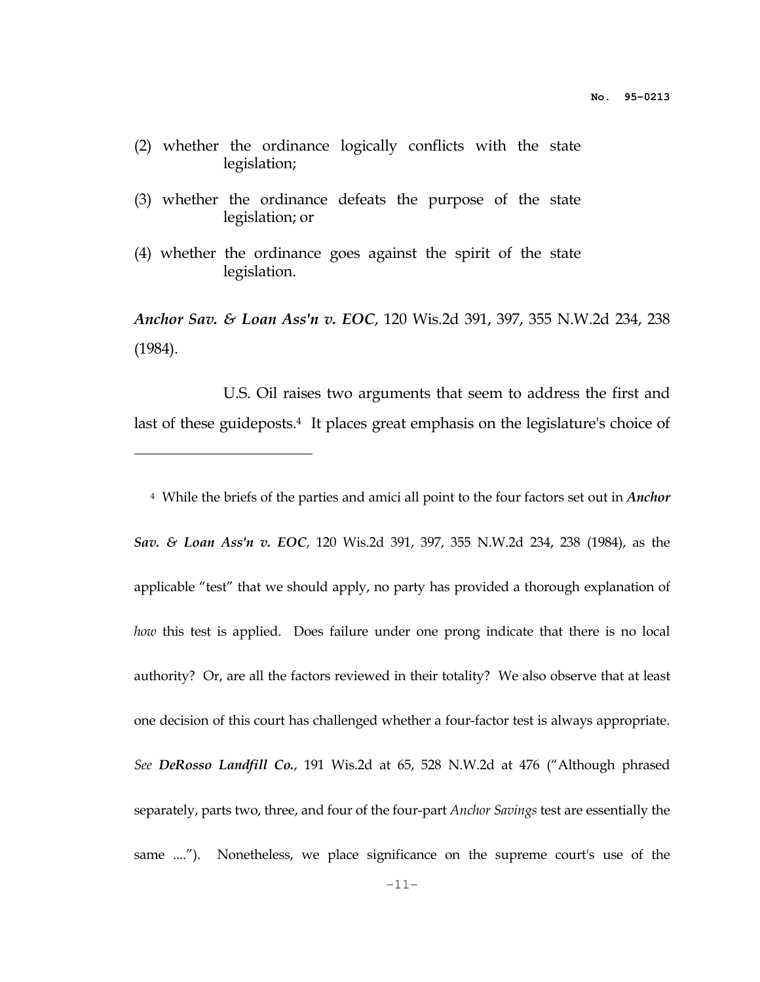- (2) whether the ordinance logically conflicts with the state legislation;
- (3) whether the ordinance defeats the purpose of the state legislation; or
- (4) whether the ordinance goes against the spirit of the state legislation.

 $\overline{a}$ 

Anchor Sav. & Loan Ass'n v. EOC, 120 Wis.2d 391, 397, 355 N.W.2d 234, 238 (1984).

 U.S. Oil raises two arguments that seem to address the first and last of these guideposts.<sup>4</sup> It places great emphasis on the legislature's choice of

<sup>4</sup> While the briefs of the parties and amici all point to the four factors set out in *Anchor* Sav. & Loan Ass'n v. EOC, 120 Wis.2d 391, 397, 355 N.W.2d 234, 238 (1984), as the applicable "test" that we should apply, no party has provided a thorough explanation of how this test is applied. Does failure under one prong indicate that there is no local authority? Or, are all the factors reviewed in their totality? We also observe that at least one decision of this court has challenged whether a four-factor test is always appropriate. See DeRosso Landfill Co., 191 Wis.2d at 65, 528 N.W.2d at 476 ("Although phrased separately, parts two, three, and four of the four-part Anchor Savings test are essentially the same ...."). Nonetheless, we place significance on the supreme court's use of the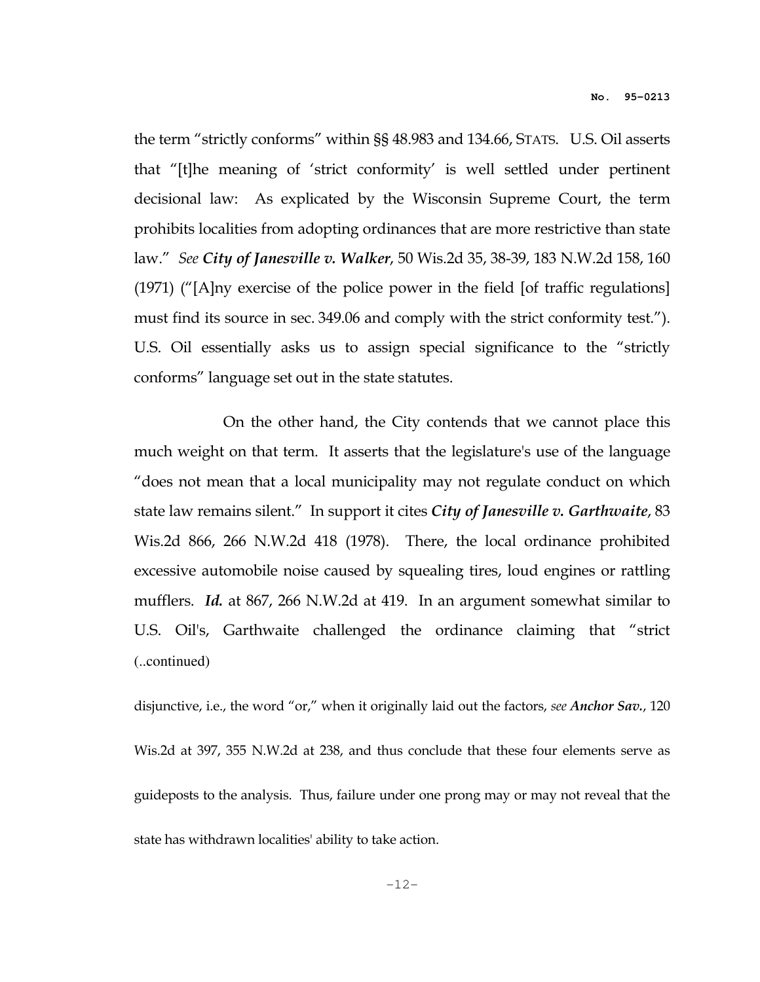the term "strictly conforms" within §§ 48.983 and 134.66, STATS. U.S. Oil asserts that "[t]he meaning of 'strict conformity' is well settled under pertinent decisional law: As explicated by the Wisconsin Supreme Court, the term prohibits localities from adopting ordinances that are more restrictive than state law." See City of Janesville v. Walker, 50 Wis.2d 35, 38-39, 183 N.W.2d 158, 160 (1971) ("[A]ny exercise of the police power in the field [of traffic regulations] must find its source in sec. 349.06 and comply with the strict conformity test."). U.S. Oil essentially asks us to assign special significance to the "strictly conforms" language set out in the state statutes.

 On the other hand, the City contends that we cannot place this much weight on that term. It asserts that the legislature's use of the language "does not mean that a local municipality may not regulate conduct on which state law remains silent." In support it cites City of Janesville v. Garthwaite, 83 Wis.2d 866, 266 N.W.2d 418 (1978). There, the local ordinance prohibited excessive automobile noise caused by squealing tires, loud engines or rattling mufflers. Id. at 867, 266 N.W.2d at 419. In an argument somewhat similar to U.S. Oil's, Garthwaite challenged the ordinance claiming that "strict (..continued)

disjunctive, i.e., the word "or," when it originally laid out the factors, see Anchor Sav., 120 Wis.2d at 397, 355 N.W.2d at 238, and thus conclude that these four elements serve as guideposts to the analysis. Thus, failure under one prong may or may not reveal that the state has withdrawn localities' ability to take action.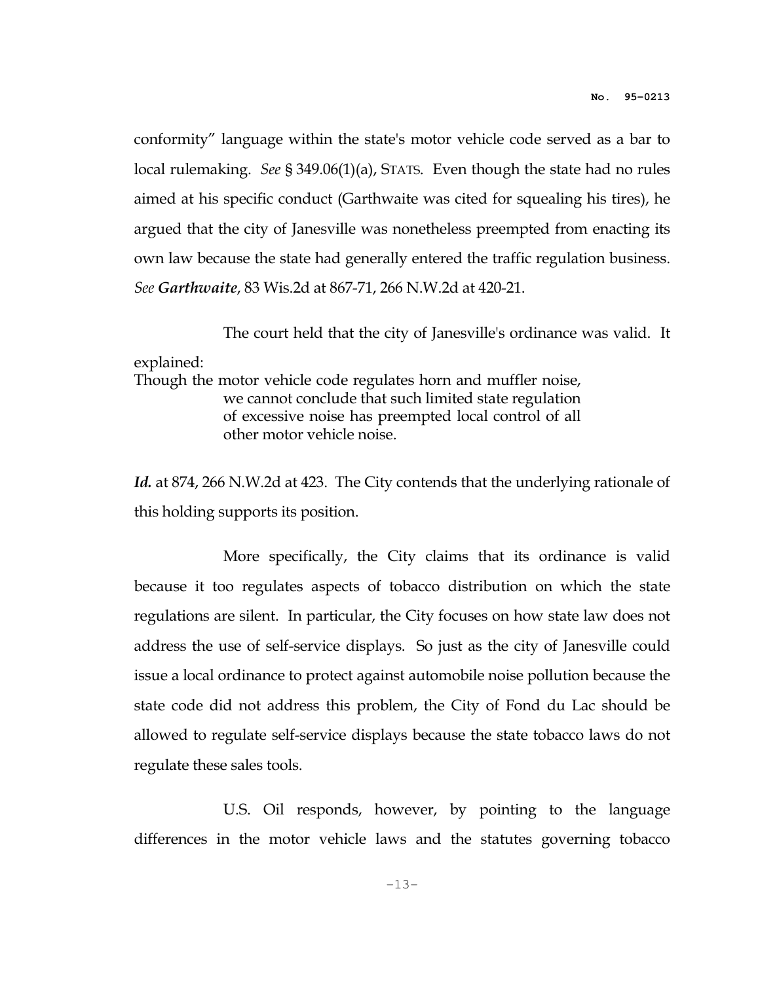conformity" language within the state's motor vehicle code served as a bar to local rulemaking. See § 349.06(1)(a), STATS. Even though the state had no rules aimed at his specific conduct (Garthwaite was cited for squealing his tires), he argued that the city of Janesville was nonetheless preempted from enacting its own law because the state had generally entered the traffic regulation business. See Garthwaite, 83 Wis.2d at 867-71, 266 N.W.2d at 420-21.

The court held that the city of Janesville's ordinance was valid. It

## explained:

Though the motor vehicle code regulates horn and muffler noise, we cannot conclude that such limited state regulation of excessive noise has preempted local control of all other motor vehicle noise.

Id. at 874, 266 N.W.2d at 423. The City contends that the underlying rationale of this holding supports its position.

 More specifically, the City claims that its ordinance is valid because it too regulates aspects of tobacco distribution on which the state regulations are silent. In particular, the City focuses on how state law does not address the use of self-service displays. So just as the city of Janesville could issue a local ordinance to protect against automobile noise pollution because the state code did not address this problem, the City of Fond du Lac should be allowed to regulate self-service displays because the state tobacco laws do not regulate these sales tools.

 U.S. Oil responds, however, by pointing to the language differences in the motor vehicle laws and the statutes governing tobacco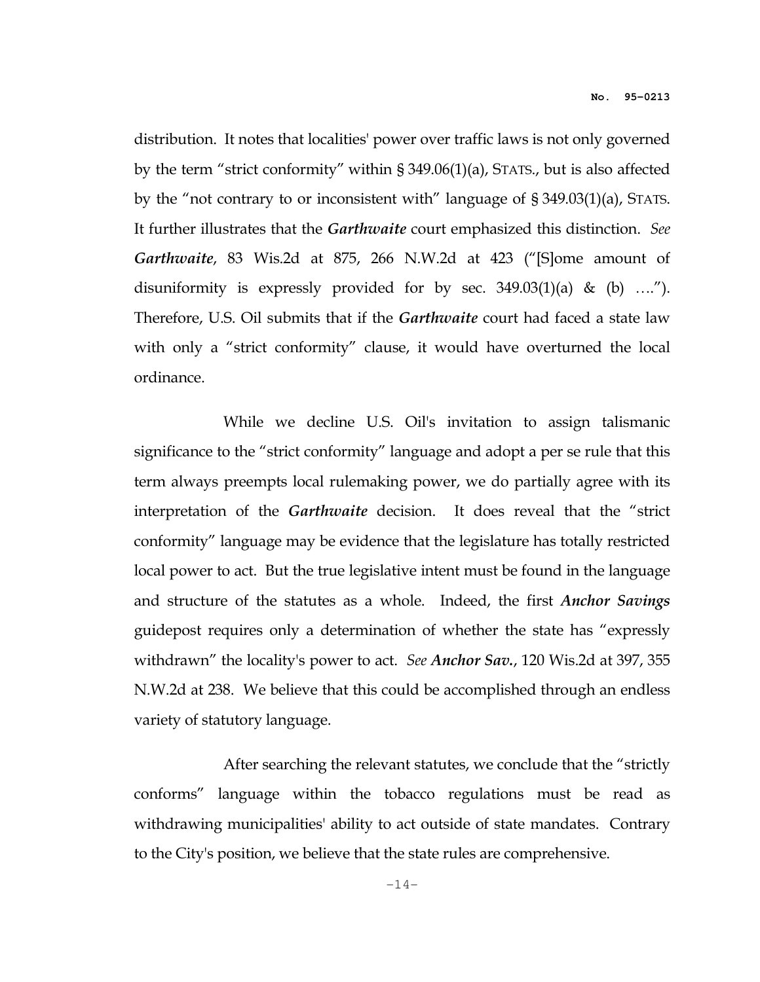distribution. It notes that localities' power over traffic laws is not only governed by the term "strict conformity" within § 349.06(1)(a), STATS., but is also affected by the "not contrary to or inconsistent with" language of § 349.03(1)(a), STATS. It further illustrates that the Garthwaite court emphasized this distinction. See Garthwaite, 83 Wis.2d at 875, 266 N.W.2d at 423 ("[S]ome amount of disuniformity is expressly provided for by sec.  $349.03(1)(a)$  & (b) ...."). Therefore, U.S. Oil submits that if the *Garthwaite* court had faced a state law with only a "strict conformity" clause, it would have overturned the local ordinance.

 While we decline U.S. Oil's invitation to assign talismanic significance to the "strict conformity" language and adopt a per se rule that this term always preempts local rulemaking power, we do partially agree with its interpretation of the Garthwaite decision. It does reveal that the "strict conformity" language may be evidence that the legislature has totally restricted local power to act. But the true legislative intent must be found in the language and structure of the statutes as a whole. Indeed, the first Anchor Savings guidepost requires only a determination of whether the state has "expressly withdrawn" the locality's power to act. See Anchor Sav., 120 Wis.2d at 397, 355 N.W.2d at 238. We believe that this could be accomplished through an endless variety of statutory language.

 After searching the relevant statutes, we conclude that the "strictly conforms" language within the tobacco regulations must be read as withdrawing municipalities' ability to act outside of state mandates. Contrary to the City's position, we believe that the state rules are comprehensive.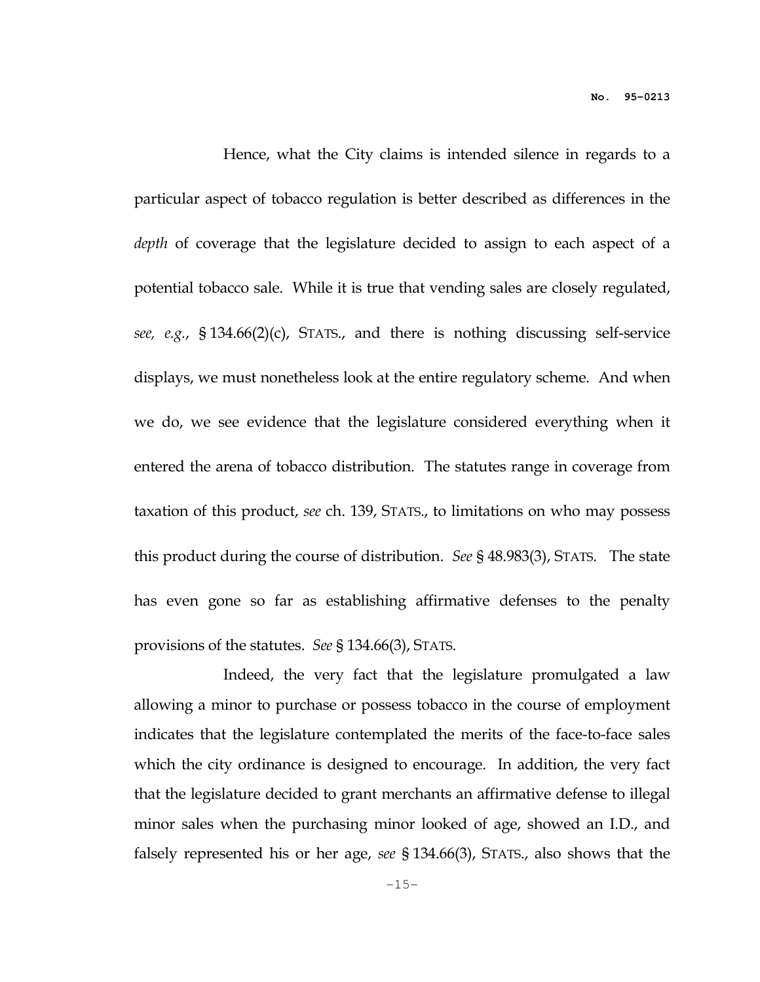Hence, what the City claims is intended silence in regards to a particular aspect of tobacco regulation is better described as differences in the depth of coverage that the legislature decided to assign to each aspect of a potential tobacco sale. While it is true that vending sales are closely regulated, see, e.g., § 134.66(2)(c), STATS., and there is nothing discussing self-service displays, we must nonetheless look at the entire regulatory scheme. And when we do, we see evidence that the legislature considered everything when it entered the arena of tobacco distribution. The statutes range in coverage from taxation of this product, see ch. 139, STATS., to limitations on who may possess this product during the course of distribution. See § 48.983(3), STATS. The state has even gone so far as establishing affirmative defenses to the penalty provisions of the statutes. See § 134.66(3), STATS.

 Indeed, the very fact that the legislature promulgated a law allowing a minor to purchase or possess tobacco in the course of employment indicates that the legislature contemplated the merits of the face-to-face sales which the city ordinance is designed to encourage. In addition, the very fact that the legislature decided to grant merchants an affirmative defense to illegal minor sales when the purchasing minor looked of age, showed an I.D., and falsely represented his or her age, see § 134.66(3), STATS., also shows that the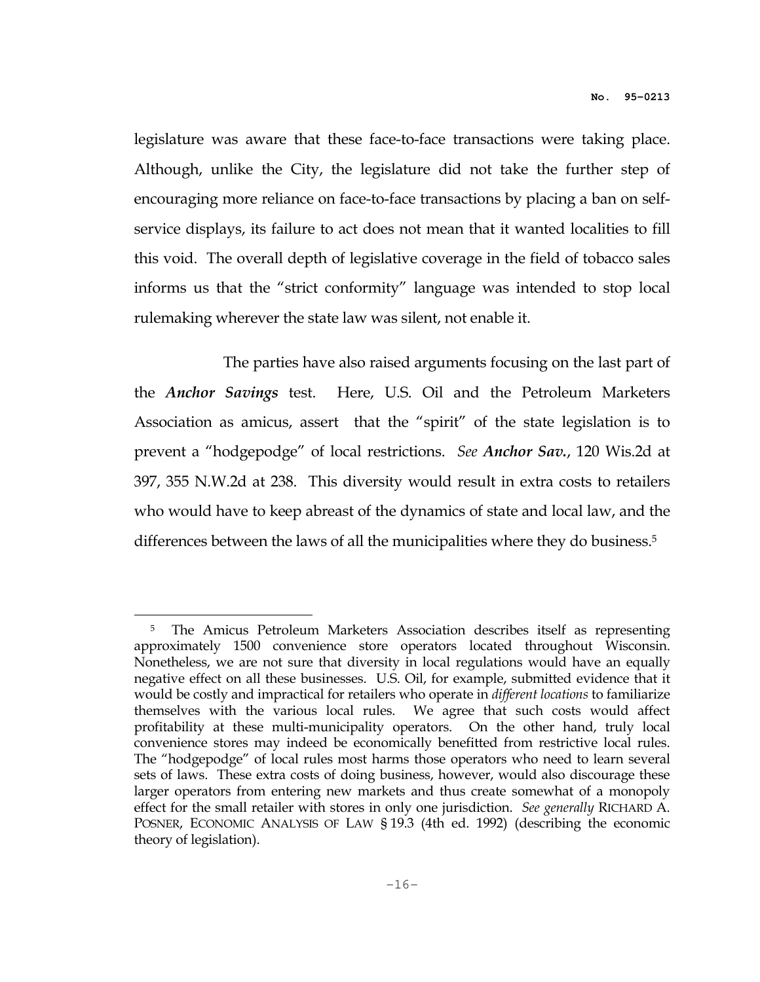legislature was aware that these face-to-face transactions were taking place. Although, unlike the City, the legislature did not take the further step of encouraging more reliance on face-to-face transactions by placing a ban on selfservice displays, its failure to act does not mean that it wanted localities to fill this void. The overall depth of legislative coverage in the field of tobacco sales informs us that the "strict conformity" language was intended to stop local rulemaking wherever the state law was silent, not enable it.

 The parties have also raised arguments focusing on the last part of the *Anchor Savings* test. Here, U.S. Oil and the Petroleum Marketers Association as amicus, assert that the "spirit" of the state legislation is to prevent a "hodgepodge" of local restrictions. See Anchor Sav., 120 Wis.2d at 397, 355 N.W.2d at 238. This diversity would result in extra costs to retailers who would have to keep abreast of the dynamics of state and local law, and the differences between the laws of all the municipalities where they do business.<sup>5</sup>

 $\overline{a}$ 

<sup>5</sup> The Amicus Petroleum Marketers Association describes itself as representing approximately 1500 convenience store operators located throughout Wisconsin. Nonetheless, we are not sure that diversity in local regulations would have an equally negative effect on all these businesses. U.S. Oil, for example, submitted evidence that it would be costly and impractical for retailers who operate in *different locations* to familiarize themselves with the various local rules. We agree that such costs would affect profitability at these multi-municipality operators. On the other hand, truly local convenience stores may indeed be economically benefitted from restrictive local rules. The "hodgepodge" of local rules most harms those operators who need to learn several sets of laws. These extra costs of doing business, however, would also discourage these larger operators from entering new markets and thus create somewhat of a monopoly effect for the small retailer with stores in only one jurisdiction. See generally RICHARD A. POSNER, ECONOMIC ANALYSIS OF LAW § 19.3 (4th ed. 1992) (describing the economic theory of legislation).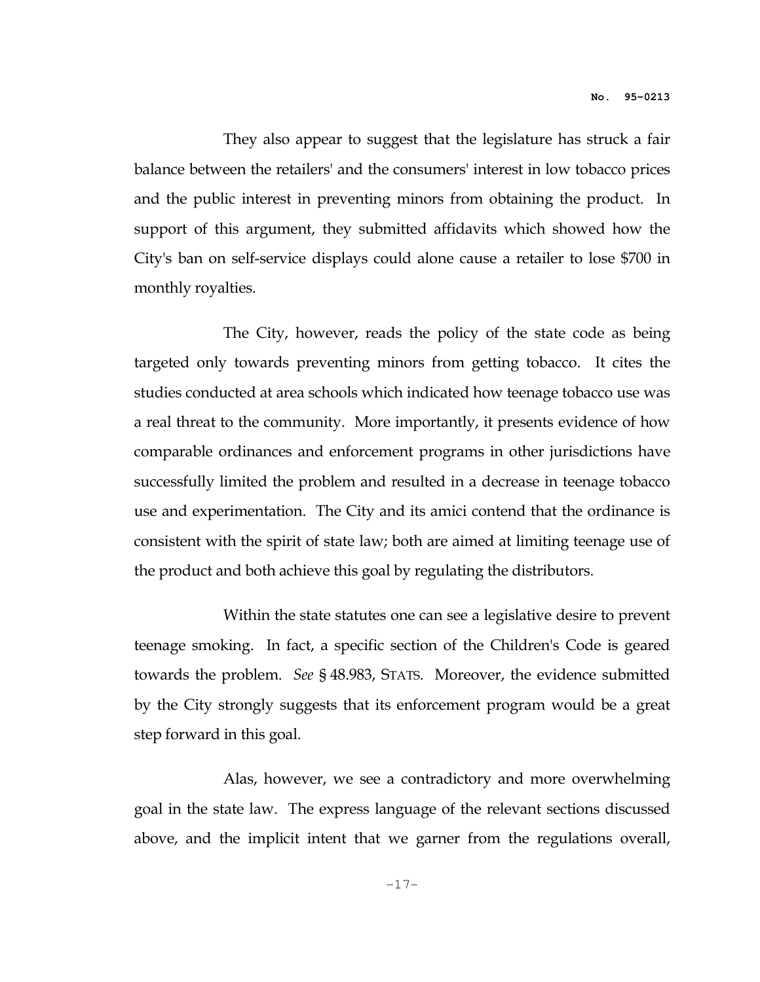They also appear to suggest that the legislature has struck a fair balance between the retailers' and the consumers' interest in low tobacco prices and the public interest in preventing minors from obtaining the product. In support of this argument, they submitted affidavits which showed how the City's ban on self-service displays could alone cause a retailer to lose \$700 in monthly royalties.

 The City, however, reads the policy of the state code as being targeted only towards preventing minors from getting tobacco. It cites the studies conducted at area schools which indicated how teenage tobacco use was a real threat to the community. More importantly, it presents evidence of how comparable ordinances and enforcement programs in other jurisdictions have successfully limited the problem and resulted in a decrease in teenage tobacco use and experimentation. The City and its amici contend that the ordinance is consistent with the spirit of state law; both are aimed at limiting teenage use of the product and both achieve this goal by regulating the distributors.

 Within the state statutes one can see a legislative desire to prevent teenage smoking. In fact, a specific section of the Children's Code is geared towards the problem. See § 48.983, STATS. Moreover, the evidence submitted by the City strongly suggests that its enforcement program would be a great step forward in this goal.

 Alas, however, we see a contradictory and more overwhelming goal in the state law. The express language of the relevant sections discussed above, and the implicit intent that we garner from the regulations overall,